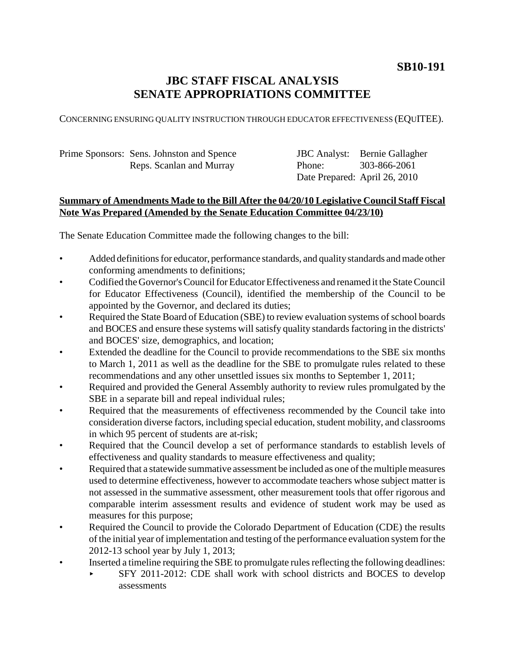# **JBC STAFF FISCAL ANALYSIS SENATE APPROPRIATIONS COMMITTEE**

CONCERNING ENSURING QUALITY INSTRUCTION THROUGH EDUCATOR EFFECTIVENESS (EQUITEE).

Prime Sponsors: Sens. Johnston and Spence Reps. Scanlan and Murray

JBC Analyst: Bernie Gallagher Phone: Date Prepared: April 26, 2010 303-866-2061

# **Summary of Amendments Made to the Bill After the 04/20/10 Legislative Council Staff Fiscal Note Was Prepared (Amended by the Senate Education Committee 04/23/10)**

The Senate Education Committee made the following changes to the bill:

- Added definitions for educator, performance standards, and quality standards and made other conforming amendments to definitions;
- Codified the Governor's Council for Educator Effectiveness and renamed it the State Council for Educator Effectiveness (Council), identified the membership of the Council to be appointed by the Governor, and declared its duties;
- Required the State Board of Education (SBE) to review evaluation systems of school boards and BOCES and ensure these systems will satisfy quality standards factoring in the districts' and BOCES' size, demographics, and location;
- Extended the deadline for the Council to provide recommendations to the SBE six months to March 1, 2011 as well as the deadline for the SBE to promulgate rules related to these recommendations and any other unsettled issues six months to September 1, 2011;
- Required and provided the General Assembly authority to review rules promulgated by the SBE in a separate bill and repeal individual rules;
- Required that the measurements of effectiveness recommended by the Council take into consideration diverse factors, including special education, student mobility, and classrooms in which 95 percent of students are at-risk;
- Required that the Council develop a set of performance standards to establish levels of effectiveness and quality standards to measure effectiveness and quality;
- Required that a statewide summative assessment be included as one of the multiple measures used to determine effectiveness, however to accommodate teachers whose subject matter is not assessed in the summative assessment, other measurement tools that offer rigorous and comparable interim assessment results and evidence of student work may be used as measures for this purpose;
- Required the Council to provide the Colorado Department of Education (CDE) the results of the initial year of implementation and testing of the performance evaluation system for the 2012-13 school year by July 1, 2013;
- Inserted a timeline requiring the SBE to promulgate rules reflecting the following deadlines:
	- SFY 2011-2012: CDE shall work with school districts and BOCES to develop assessments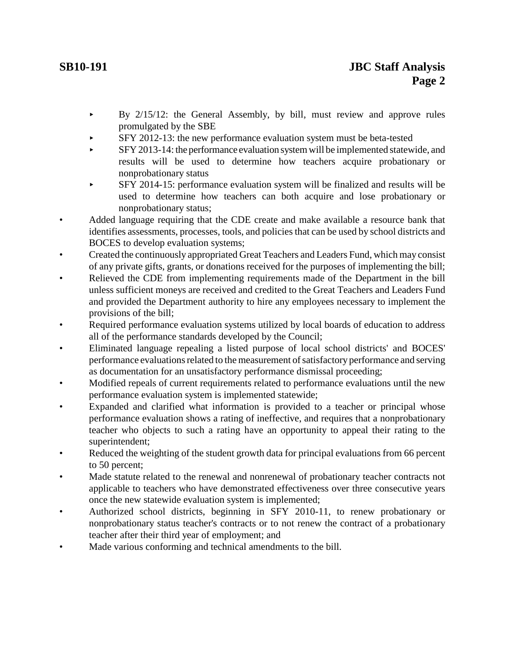- $\blacktriangleright$  By 2/15/12: the General Assembly, by bill, must review and approve rules promulgated by the SBE
- $\blacktriangleright$  SFY 2012-13: the new performance evaluation system must be beta-tested
- < SFY 2013-14: the performance evaluation system will be implemented statewide, and results will be used to determine how teachers acquire probationary or nonprobationary status
- < SFY 2014-15: performance evaluation system will be finalized and results will be used to determine how teachers can both acquire and lose probationary or nonprobationary status;
- Added language requiring that the CDE create and make available a resource bank that identifies assessments, processes, tools, and policies that can be used by school districts and BOCES to develop evaluation systems;
- Created the continuously appropriated Great Teachers and Leaders Fund, which may consist of any private gifts, grants, or donations received for the purposes of implementing the bill;
- Relieved the CDE from implementing requirements made of the Department in the bill unless sufficient moneys are received and credited to the Great Teachers and Leaders Fund and provided the Department authority to hire any employees necessary to implement the provisions of the bill;
- Required performance evaluation systems utilized by local boards of education to address all of the performance standards developed by the Council;
- Eliminated language repealing a listed purpose of local school districts' and BOCES' performance evaluations related to the measurement of satisfactory performance and serving as documentation for an unsatisfactory performance dismissal proceeding;
- Modified repeals of current requirements related to performance evaluations until the new performance evaluation system is implemented statewide;
- Expanded and clarified what information is provided to a teacher or principal whose performance evaluation shows a rating of ineffective, and requires that a nonprobationary teacher who objects to such a rating have an opportunity to appeal their rating to the superintendent;
- Reduced the weighting of the student growth data for principal evaluations from 66 percent to 50 percent;
- Made statute related to the renewal and nonrenewal of probationary teacher contracts not applicable to teachers who have demonstrated effectiveness over three consecutive years once the new statewide evaluation system is implemented;
- Authorized school districts, beginning in SFY 2010-11, to renew probationary or nonprobationary status teacher's contracts or to not renew the contract of a probationary teacher after their third year of employment; and
- Made various conforming and technical amendments to the bill.